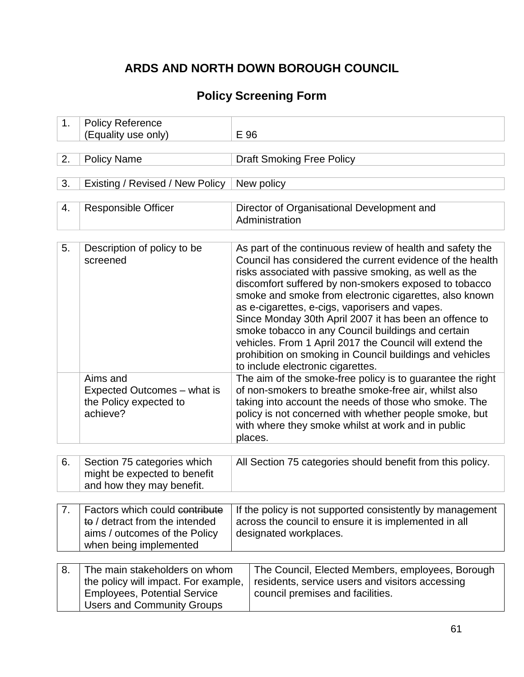# **ARDS AND NORTH DOWN BOROUGH COUNCIL**

## **Policy Screening Form**

| 1. | <b>Policy Reference</b><br>(Equality use only)                                                                                                    | E 96                                                                                                                                                                                                                                                                                                                                                                                                                                                                                                                                                                                                                             |  |
|----|---------------------------------------------------------------------------------------------------------------------------------------------------|----------------------------------------------------------------------------------------------------------------------------------------------------------------------------------------------------------------------------------------------------------------------------------------------------------------------------------------------------------------------------------------------------------------------------------------------------------------------------------------------------------------------------------------------------------------------------------------------------------------------------------|--|
|    |                                                                                                                                                   |                                                                                                                                                                                                                                                                                                                                                                                                                                                                                                                                                                                                                                  |  |
| 2. | <b>Policy Name</b>                                                                                                                                | <b>Draft Smoking Free Policy</b>                                                                                                                                                                                                                                                                                                                                                                                                                                                                                                                                                                                                 |  |
|    |                                                                                                                                                   |                                                                                                                                                                                                                                                                                                                                                                                                                                                                                                                                                                                                                                  |  |
| 3. | Existing / Revised / New Policy                                                                                                                   | New policy                                                                                                                                                                                                                                                                                                                                                                                                                                                                                                                                                                                                                       |  |
| 4. | <b>Responsible Officer</b>                                                                                                                        | Director of Organisational Development and<br>Administration                                                                                                                                                                                                                                                                                                                                                                                                                                                                                                                                                                     |  |
| 5. | Description of policy to be<br>screened                                                                                                           | As part of the continuous review of health and safety the<br>Council has considered the current evidence of the health<br>risks associated with passive smoking, as well as the<br>discomfort suffered by non-smokers exposed to tobacco<br>smoke and smoke from electronic cigarettes, also known<br>as e-cigarettes, e-cigs, vaporisers and vapes.<br>Since Monday 30th April 2007 it has been an offence to<br>smoke tobacco in any Council buildings and certain<br>vehicles. From 1 April 2017 the Council will extend the<br>prohibition on smoking in Council buildings and vehicles<br>to include electronic cigarettes. |  |
|    | Aims and<br>Expected Outcomes - what is<br>the Policy expected to<br>achieve?                                                                     | The aim of the smoke-free policy is to guarantee the right<br>of non-smokers to breathe smoke-free air, whilst also<br>taking into account the needs of those who smoke. The<br>policy is not concerned with whether people smoke, but<br>with where they smoke whilst at work and in public<br>places.                                                                                                                                                                                                                                                                                                                          |  |
|    |                                                                                                                                                   |                                                                                                                                                                                                                                                                                                                                                                                                                                                                                                                                                                                                                                  |  |
| 6. | Section 75 categories which<br>might be expected to benefit<br>and how they may benefit.                                                          | All Section 75 categories should benefit from this policy.                                                                                                                                                                                                                                                                                                                                                                                                                                                                                                                                                                       |  |
| 7. | Factors which could contribute<br>to / detract from the intended<br>aims / outcomes of the Policy<br>when being implemented                       | If the policy is not supported consistently by management<br>across the council to ensure it is implemented in all<br>designated workplaces.                                                                                                                                                                                                                                                                                                                                                                                                                                                                                     |  |
| 8. | The main stakeholders on whom<br>the policy will impact. For example,<br><b>Employees, Potential Service</b><br><b>Users and Community Groups</b> | The Council, Elected Members, employees, Borough<br>residents, service users and visitors accessing<br>council premises and facilities.                                                                                                                                                                                                                                                                                                                                                                                                                                                                                          |  |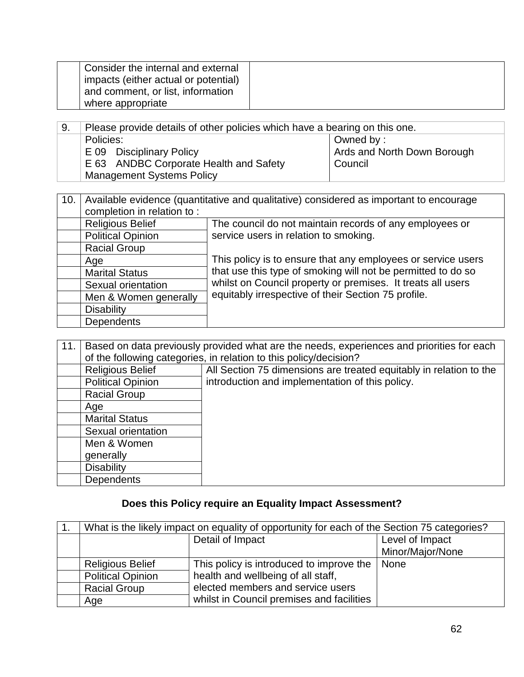| Consider the internal and external   |  |
|--------------------------------------|--|
| impacts (either actual or potential) |  |
| and comment, or list, information    |  |
| where appropriate                    |  |

| -9. | Please provide details of other policies which have a bearing on this one. |  |
|-----|----------------------------------------------------------------------------|--|
|     | Policies:<br>Owned by:                                                     |  |
|     | Ards and North Down Borough<br>E 09 Disciplinary Policy                    |  |
|     | E 63 ANDBC Corporate Health and Safety<br>Council                          |  |
|     | <b>Management Systems Policy</b>                                           |  |

| 10. | Available evidence (quantitative and qualitative) considered as important to encourage |                                                                                                                                                                                                                                                    |  |
|-----|----------------------------------------------------------------------------------------|----------------------------------------------------------------------------------------------------------------------------------------------------------------------------------------------------------------------------------------------------|--|
|     | completion in relation to:                                                             |                                                                                                                                                                                                                                                    |  |
|     | <b>Religious Belief</b>                                                                | The council do not maintain records of any employees or                                                                                                                                                                                            |  |
|     | <b>Political Opinion</b>                                                               | service users in relation to smoking.                                                                                                                                                                                                              |  |
|     | <b>Racial Group</b>                                                                    |                                                                                                                                                                                                                                                    |  |
|     | Age                                                                                    | This policy is to ensure that any employees or service users<br>that use this type of smoking will not be permitted to do so<br>whilst on Council property or premises. It treats all users<br>equitably irrespective of their Section 75 profile. |  |
|     | <b>Marital Status</b>                                                                  |                                                                                                                                                                                                                                                    |  |
|     | Sexual orientation                                                                     |                                                                                                                                                                                                                                                    |  |
|     | Men & Women generally                                                                  |                                                                                                                                                                                                                                                    |  |
|     | <b>Disability</b>                                                                      |                                                                                                                                                                                                                                                    |  |
|     | Dependents                                                                             |                                                                                                                                                                                                                                                    |  |

| 11. | Based on data previously provided what are the needs, experiences and priorities for each<br>of the following categories, in relation to this policy/decision? |                                                                    |  |
|-----|----------------------------------------------------------------------------------------------------------------------------------------------------------------|--------------------------------------------------------------------|--|
|     | <b>Religious Belief</b>                                                                                                                                        | All Section 75 dimensions are treated equitably in relation to the |  |
|     | <b>Political Opinion</b>                                                                                                                                       | introduction and implementation of this policy.                    |  |
|     | <b>Racial Group</b>                                                                                                                                            |                                                                    |  |
|     | Age                                                                                                                                                            |                                                                    |  |
|     | <b>Marital Status</b>                                                                                                                                          |                                                                    |  |
|     | Sexual orientation                                                                                                                                             |                                                                    |  |
|     | Men & Women                                                                                                                                                    |                                                                    |  |
|     | generally                                                                                                                                                      |                                                                    |  |
|     | <b>Disability</b>                                                                                                                                              |                                                                    |  |
|     | <b>Dependents</b>                                                                                                                                              |                                                                    |  |

## **Does this Policy require an Equality Impact Assessment?**

| What is the likely impact on equality of opportunity for each of the Section 75 categories? |                                           |                  |
|---------------------------------------------------------------------------------------------|-------------------------------------------|------------------|
| Detail of Impact                                                                            |                                           | Level of Impact  |
|                                                                                             |                                           | Minor/Major/None |
| <b>Religious Belief</b>                                                                     | This policy is introduced to improve the  | <b>None</b>      |
| <b>Political Opinion</b>                                                                    | health and wellbeing of all staff,        |                  |
| <b>Racial Group</b>                                                                         | elected members and service users         |                  |
| Age                                                                                         | whilst in Council premises and facilities |                  |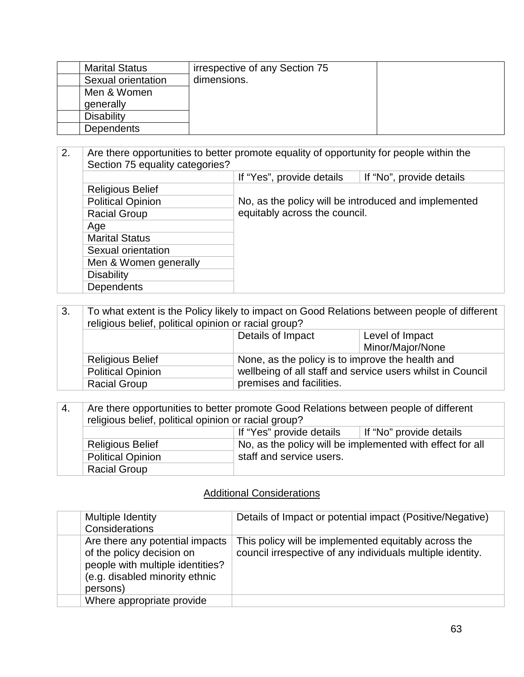| <b>Marital Status</b> | irrespective of any Section 75 |  |
|-----------------------|--------------------------------|--|
| Sexual orientation    | dimensions.                    |  |
| Men & Women           |                                |  |
| generally             |                                |  |
| <b>Disability</b>     |                                |  |
| <b>Dependents</b>     |                                |  |

2. Are there opportunities to better promote equality of opportunity for people within the Section 75 equality categories? If "Yes", provide details | If "No", provide details Religious Belief No, as the policy will be introduced and implemented equitably across the council. Political Opinion Racial Group Age Marital Status Sexual orientation Men & Women generally **Disability Dependents** 

| $^{\circ}$ 3.                                                               | To what extent is the Policy likely to impact on Good Relations between people of different<br>religious belief, political opinion or racial group? |                                                            |                  |
|-----------------------------------------------------------------------------|-----------------------------------------------------------------------------------------------------------------------------------------------------|------------------------------------------------------------|------------------|
|                                                                             | Details of Impact                                                                                                                                   |                                                            | Level of Impact  |
|                                                                             |                                                                                                                                                     |                                                            | Minor/Major/None |
| None, as the policy is to improve the health and<br><b>Religious Belief</b> |                                                                                                                                                     |                                                            |                  |
|                                                                             | <b>Political Opinion</b>                                                                                                                            | wellbeing of all staff and service users whilst in Council |                  |
| <b>Racial Group</b>                                                         |                                                                                                                                                     | premises and facilities.                                   |                  |

| ່ 4. | Are there opportunities to better promote Good Relations between people of different |                          |  |  |
|------|--------------------------------------------------------------------------------------|--------------------------|--|--|
|      | religious belief, political opinion or racial group?                                 |                          |  |  |
|      | If "Yes" provide details<br>If "No" provide details                                  |                          |  |  |
|      | No, as the policy will be implemented with effect for all<br><b>Religious Belief</b> |                          |  |  |
|      | <b>Political Opinion</b>                                                             | staff and service users. |  |  |
|      | <b>Racial Group</b>                                                                  |                          |  |  |

### Additional Considerations

| Multiple Identity<br>Considerations                                                                                                            | Details of Impact or potential impact (Positive/Negative)                                                          |
|------------------------------------------------------------------------------------------------------------------------------------------------|--------------------------------------------------------------------------------------------------------------------|
| Are there any potential impacts<br>of the policy decision on<br>people with multiple identities?<br>(e.g. disabled minority ethnic<br>persons) | This policy will be implemented equitably across the<br>council irrespective of any individuals multiple identity. |
| Where appropriate provide                                                                                                                      |                                                                                                                    |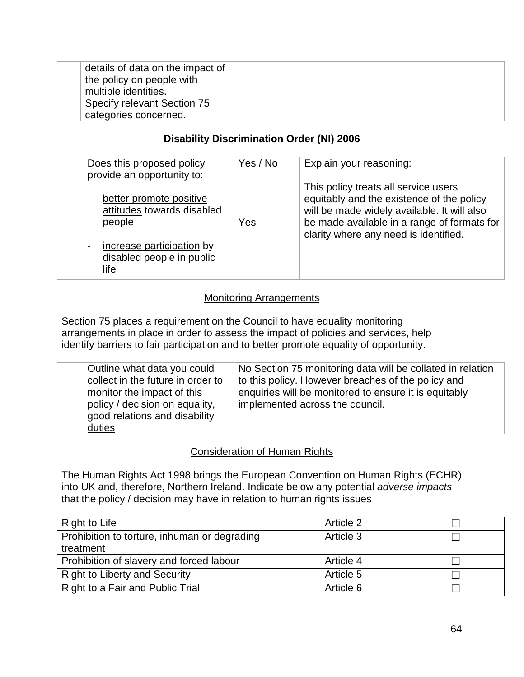| details of data on the impact of<br>the policy on people with<br>multiple identities. |  |
|---------------------------------------------------------------------------------------|--|
| Specify relevant Section 75                                                           |  |
| categories concerned.                                                                 |  |

#### **Disability Discrimination Order (NI) 2006**

| Does this proposed policy<br>provide an opportunity to:                                      | Yes / No | Explain your reasoning:                                                                                                                                                                                                  |
|----------------------------------------------------------------------------------------------|----------|--------------------------------------------------------------------------------------------------------------------------------------------------------------------------------------------------------------------------|
| better promote positive<br>attitudes towards disabled<br>people<br>increase participation by | Yes      | This policy treats all service users<br>equitably and the existence of the policy<br>will be made widely available. It will also<br>be made available in a range of formats for<br>clarity where any need is identified. |
| disabled people in public<br>life                                                            |          |                                                                                                                                                                                                                          |

#### Monitoring Arrangements

Section 75 places a requirement on the Council to have equality monitoring arrangements in place in order to assess the impact of policies and services, help identify barriers to fair participation and to better promote equality of opportunity.

| Outline what data you could<br>collect in the future in order to<br>monitor the impact of this<br>policy / decision on equality,<br>good relations and disability | No Section 75 monitoring data will be collated in relation<br>to this policy. However breaches of the policy and<br>enquiries will be monitored to ensure it is equitably<br>implemented across the council. |
|-------------------------------------------------------------------------------------------------------------------------------------------------------------------|--------------------------------------------------------------------------------------------------------------------------------------------------------------------------------------------------------------|
| duties                                                                                                                                                            |                                                                                                                                                                                                              |

#### Consideration of Human Rights

The Human Rights Act 1998 brings the European Convention on Human Rights (ECHR) into UK and, therefore, Northern Ireland. Indicate below any potential *adverse impacts* that the policy / decision may have in relation to human rights issues

| Right to Life                                | Article 2 |  |
|----------------------------------------------|-----------|--|
| Prohibition to torture, inhuman or degrading | Article 3 |  |
| treatment                                    |           |  |
| Prohibition of slavery and forced labour     | Article 4 |  |
| <b>Right to Liberty and Security</b>         | Article 5 |  |
| Right to a Fair and Public Trial             | Article 6 |  |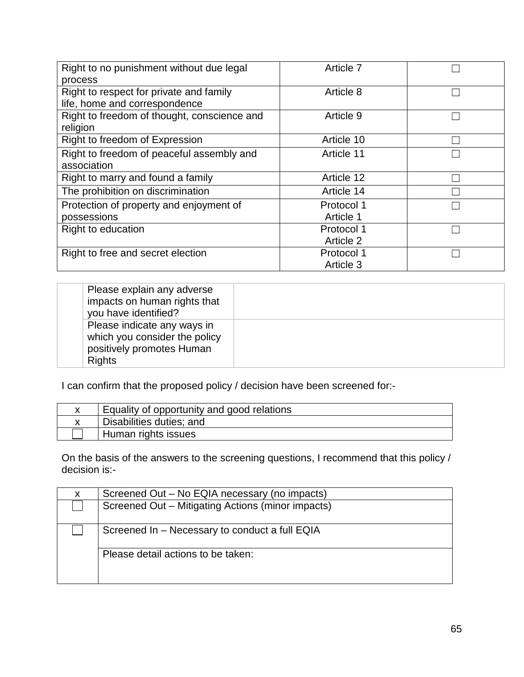| Right to no punishment without due legal    | Article 7  |  |
|---------------------------------------------|------------|--|
| process                                     |            |  |
| Right to respect for private and family     | Article 8  |  |
| life, home and correspondence               |            |  |
| Right to freedom of thought, conscience and | Article 9  |  |
| religion                                    |            |  |
| Right to freedom of Expression              | Article 10 |  |
| Right to freedom of peaceful assembly and   | Article 11 |  |
| association                                 |            |  |
| Right to marry and found a family           | Article 12 |  |
| The prohibition on discrimination           | Article 14 |  |
| Protection of property and enjoyment of     | Protocol 1 |  |
| possessions                                 | Article 1  |  |
| <b>Right to education</b>                   | Protocol 1 |  |
|                                             | Article 2  |  |
| Right to free and secret election           | Protocol 1 |  |
|                                             | Article 3  |  |

| Please explain any adverse<br>impacts on human rights that<br>you have identified?                         |  |
|------------------------------------------------------------------------------------------------------------|--|
| Please indicate any ways in<br>which you consider the policy<br>positively promotes Human<br><b>Rights</b> |  |

I can confirm that the proposed policy / decision have been screened for:-

| Equality of opportunity and good relations |
|--------------------------------------------|
| Disabilities duties; and                   |
| Human rights issues                        |

On the basis of the answers to the screening questions, I recommend that this policy / decision is:-

| X | Screened Out - No EQIA necessary (no impacts)     |
|---|---------------------------------------------------|
|   | Screened Out – Mitigating Actions (minor impacts) |
|   | Screened In – Necessary to conduct a full EQIA    |
|   | Please detail actions to be taken:                |